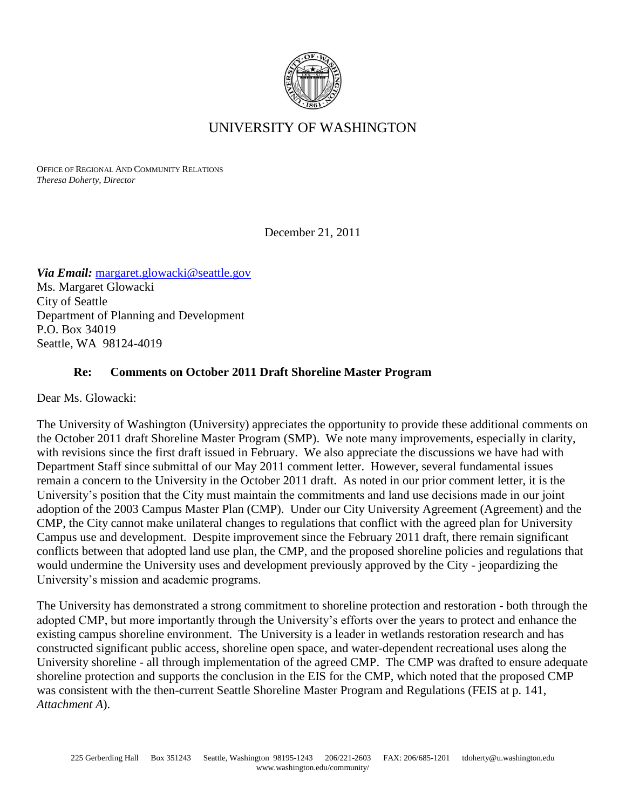

# UNIVERSITY OF WASHINGTON

OFFICE OF REGIONAL AND COMMUNITY RELATIONS *Theresa Doherty, Director*

December 21, 2011

*Via Email:* [margaret.glowacki@seattle.gov](mailto:margaret.glowacki@seattle.gov) Ms. Margaret Glowacki City of Seattle Department of Planning and Development P.O. Box 34019 Seattle, WA 98124-4019

# **Re: Comments on October 2011 Draft Shoreline Master Program**

Dear Ms. Glowacki:

The University of Washington (University) appreciates the opportunity to provide these additional comments on the October 2011 draft Shoreline Master Program (SMP). We note many improvements, especially in clarity, with revisions since the first draft issued in February. We also appreciate the discussions we have had with Department Staff since submittal of our May 2011 comment letter. However, several fundamental issues remain a concern to the University in the October 2011 draft. As noted in our prior comment letter, it is the University's position that the City must maintain the commitments and land use decisions made in our joint adoption of the 2003 Campus Master Plan (CMP). Under our City University Agreement (Agreement) and the CMP, the City cannot make unilateral changes to regulations that conflict with the agreed plan for University Campus use and development. Despite improvement since the February 2011 draft, there remain significant conflicts between that adopted land use plan, the CMP, and the proposed shoreline policies and regulations that would undermine the University uses and development previously approved by the City - jeopardizing the University's mission and academic programs.

The University has demonstrated a strong commitment to shoreline protection and restoration - both through the adopted CMP, but more importantly through the University's efforts over the years to protect and enhance the existing campus shoreline environment. The University is a leader in wetlands restoration research and has constructed significant public access, shoreline open space, and water-dependent recreational uses along the University shoreline - all through implementation of the agreed CMP. The CMP was drafted to ensure adequate shoreline protection and supports the conclusion in the EIS for the CMP, which noted that the proposed CMP was consistent with the then-current Seattle Shoreline Master Program and Regulations (FEIS at p. 141, *Attachment A*).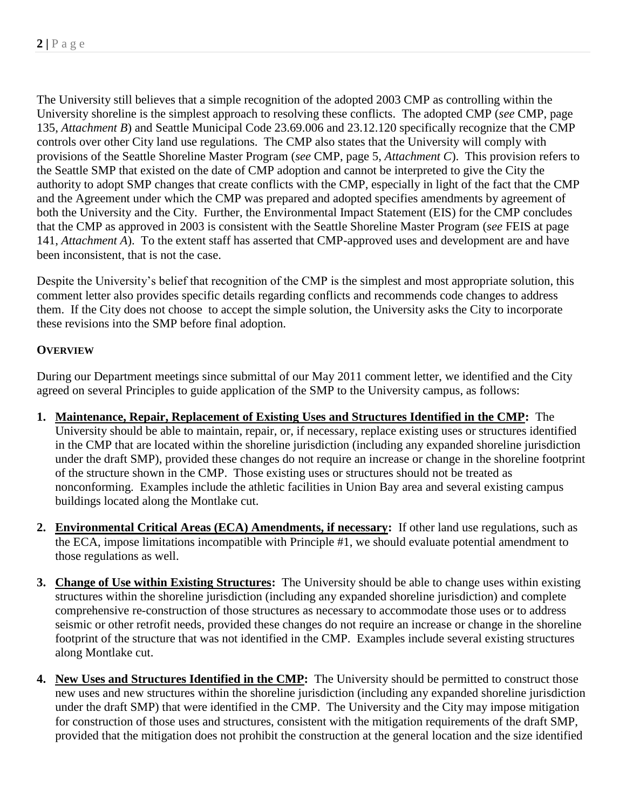The University still believes that a simple recognition of the adopted 2003 CMP as controlling within the University shoreline is the simplest approach to resolving these conflicts. The adopted CMP (*see* CMP, page 135, *Attachment B*) and Seattle Municipal Code 23.69.006 and 23.12.120 specifically recognize that the CMP controls over other City land use regulations. The CMP also states that the University will comply with provisions of the Seattle Shoreline Master Program (*see* CMP, page 5, *Attachment C*). This provision refers to the Seattle SMP that existed on the date of CMP adoption and cannot be interpreted to give the City the authority to adopt SMP changes that create conflicts with the CMP, especially in light of the fact that the CMP and the Agreement under which the CMP was prepared and adopted specifies amendments by agreement of both the University and the City. Further, the Environmental Impact Statement (EIS) for the CMP concludes that the CMP as approved in 2003 is consistent with the Seattle Shoreline Master Program (*see* FEIS at page 141, *Attachment A*). To the extent staff has asserted that CMP-approved uses and development are and have been inconsistent, that is not the case.

Despite the University's belief that recognition of the CMP is the simplest and most appropriate solution, this comment letter also provides specific details regarding conflicts and recommends code changes to address them. If the City does not choose to accept the simple solution, the University asks the City to incorporate these revisions into the SMP before final adoption.

### **OVERVIEW**

During our Department meetings since submittal of our May 2011 comment letter, we identified and the City agreed on several Principles to guide application of the SMP to the University campus, as follows:

- **1. Maintenance, Repair, Replacement of Existing Uses and Structures Identified in the CMP:** The University should be able to maintain, repair, or, if necessary, replace existing uses or structures identified in the CMP that are located within the shoreline jurisdiction (including any expanded shoreline jurisdiction under the draft SMP), provided these changes do not require an increase or change in the shoreline footprint of the structure shown in the CMP. Those existing uses or structures should not be treated as nonconforming. Examples include the athletic facilities in Union Bay area and several existing campus buildings located along the Montlake cut.
- **2. Environmental Critical Areas (ECA) Amendments, if necessary:** If other land use regulations, such as the ECA, impose limitations incompatible with Principle #1, we should evaluate potential amendment to those regulations as well.
- **3. Change of Use within Existing Structures:** The University should be able to change uses within existing structures within the shoreline jurisdiction (including any expanded shoreline jurisdiction) and complete comprehensive re-construction of those structures as necessary to accommodate those uses or to address seismic or other retrofit needs, provided these changes do not require an increase or change in the shoreline footprint of the structure that was not identified in the CMP. Examples include several existing structures along Montlake cut.
- **4. New Uses and Structures Identified in the CMP:** The University should be permitted to construct those new uses and new structures within the shoreline jurisdiction (including any expanded shoreline jurisdiction under the draft SMP) that were identified in the CMP. The University and the City may impose mitigation for construction of those uses and structures, consistent with the mitigation requirements of the draft SMP, provided that the mitigation does not prohibit the construction at the general location and the size identified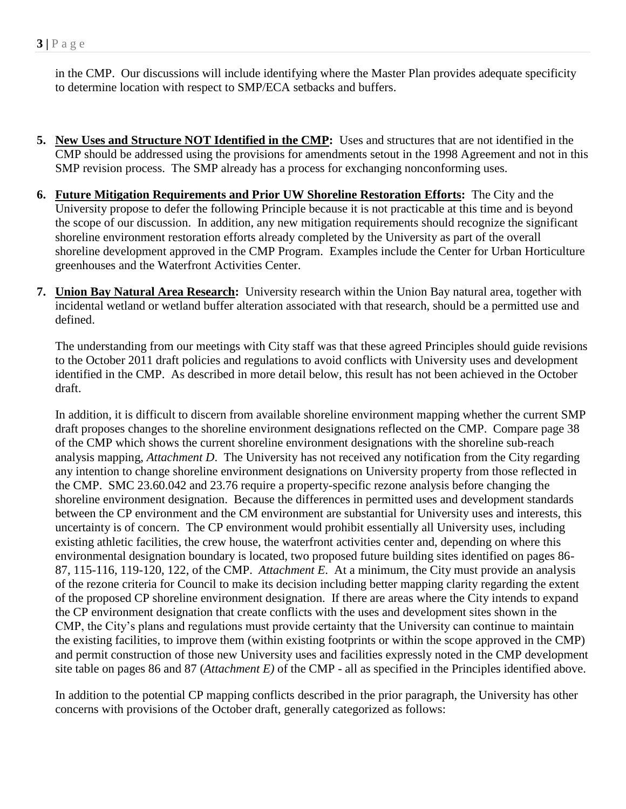in the CMP. Our discussions will include identifying where the Master Plan provides adequate specificity to determine location with respect to SMP/ECA setbacks and buffers.

- **5. New Uses and Structure NOT Identified in the CMP:** Uses and structures that are not identified in the CMP should be addressed using the provisions for amendments setout in the 1998 Agreement and not in this SMP revision process. The SMP already has a process for exchanging nonconforming uses.
- **6. Future Mitigation Requirements and Prior UW Shoreline Restoration Efforts:** The City and the University propose to defer the following Principle because it is not practicable at this time and is beyond the scope of our discussion. In addition, any new mitigation requirements should recognize the significant shoreline environment restoration efforts already completed by the University as part of the overall shoreline development approved in the CMP Program. Examples include the Center for Urban Horticulture greenhouses and the Waterfront Activities Center.
- **7. Union Bay Natural Area Research:** University research within the Union Bay natural area, together with incidental wetland or wetland buffer alteration associated with that research, should be a permitted use and defined.

The understanding from our meetings with City staff was that these agreed Principles should guide revisions to the October 2011 draft policies and regulations to avoid conflicts with University uses and development identified in the CMP. As described in more detail below, this result has not been achieved in the October draft.

In addition, it is difficult to discern from available shoreline environment mapping whether the current SMP draft proposes changes to the shoreline environment designations reflected on the CMP. Compare page 38 of the CMP which shows the current shoreline environment designations with the shoreline sub-reach analysis mapping, *Attachment D*. The University has not received any notification from the City regarding any intention to change shoreline environment designations on University property from those reflected in the CMP. SMC 23.60.042 and 23.76 require a property-specific rezone analysis before changing the shoreline environment designation. Because the differences in permitted uses and development standards between the CP environment and the CM environment are substantial for University uses and interests, this uncertainty is of concern. The CP environment would prohibit essentially all University uses, including existing athletic facilities, the crew house, the waterfront activities center and, depending on where this environmental designation boundary is located, two proposed future building sites identified on pages 86- 87, 115-116, 119-120, 122, of the CMP. *Attachment E*. At a minimum, the City must provide an analysis of the rezone criteria for Council to make its decision including better mapping clarity regarding the extent of the proposed CP shoreline environment designation. If there are areas where the City intends to expand the CP environment designation that create conflicts with the uses and development sites shown in the CMP, the City's plans and regulations must provide certainty that the University can continue to maintain the existing facilities, to improve them (within existing footprints or within the scope approved in the CMP) and permit construction of those new University uses and facilities expressly noted in the CMP development site table on pages 86 and 87 (*Attachment E)* of the CMP - all as specified in the Principles identified above.

In addition to the potential CP mapping conflicts described in the prior paragraph, the University has other concerns with provisions of the October draft, generally categorized as follows: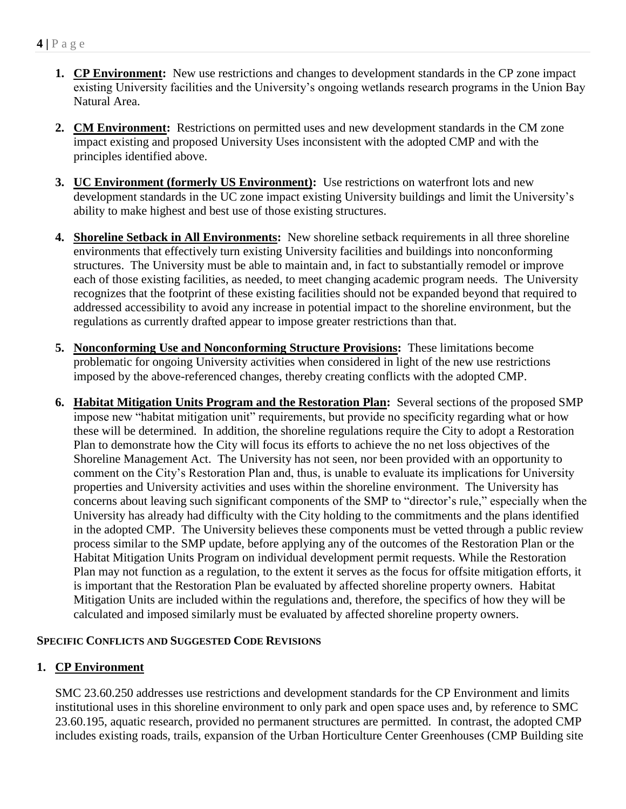- **1. CP Environment:** New use restrictions and changes to development standards in the CP zone impact existing University facilities and the University's ongoing wetlands research programs in the Union Bay Natural Area.
- **2. CM Environment:** Restrictions on permitted uses and new development standards in the CM zone impact existing and proposed University Uses inconsistent with the adopted CMP and with the principles identified above.
- **3. UC Environment (formerly US Environment):** Use restrictions on waterfront lots and new development standards in the UC zone impact existing University buildings and limit the University's ability to make highest and best use of those existing structures.
- **4. Shoreline Setback in All Environments:** New shoreline setback requirements in all three shoreline environments that effectively turn existing University facilities and buildings into nonconforming structures. The University must be able to maintain and, in fact to substantially remodel or improve each of those existing facilities, as needed, to meet changing academic program needs. The University recognizes that the footprint of these existing facilities should not be expanded beyond that required to addressed accessibility to avoid any increase in potential impact to the shoreline environment, but the regulations as currently drafted appear to impose greater restrictions than that.
- **5. Nonconforming Use and Nonconforming Structure Provisions:** These limitations become problematic for ongoing University activities when considered in light of the new use restrictions imposed by the above-referenced changes, thereby creating conflicts with the adopted CMP.
- **6. Habitat Mitigation Units Program and the Restoration Plan:** Several sections of the proposed SMP impose new "habitat mitigation unit" requirements, but provide no specificity regarding what or how these will be determined. In addition, the shoreline regulations require the City to adopt a Restoration Plan to demonstrate how the City will focus its efforts to achieve the no net loss objectives of the Shoreline Management Act. The University has not seen, nor been provided with an opportunity to comment on the City's Restoration Plan and, thus, is unable to evaluate its implications for University properties and University activities and uses within the shoreline environment. The University has concerns about leaving such significant components of the SMP to "director's rule," especially when the University has already had difficulty with the City holding to the commitments and the plans identified in the adopted CMP. The University believes these components must be vetted through a public review process similar to the SMP update, before applying any of the outcomes of the Restoration Plan or the Habitat Mitigation Units Program on individual development permit requests. While the Restoration Plan may not function as a regulation, to the extent it serves as the focus for offsite mitigation efforts, it is important that the Restoration Plan be evaluated by affected shoreline property owners. Habitat Mitigation Units are included within the regulations and, therefore, the specifics of how they will be calculated and imposed similarly must be evaluated by affected shoreline property owners.

### **S SPECIFIC CONFLICTS AND SUGGESTED CODE REVISIONS**

### **1. CP Environment**

SMC 23.60.250 addresses use restrictions and development standards for the CP Environment and limits institutional uses in this shoreline environment to only park and open space uses and, by reference to SMC 23.60.195, aquatic research, provided no permanent structures are permitted. In contrast, the adopted CMP includes existing roads, trails, expansion of the Urban Horticulture Center Greenhouses (CMP Building site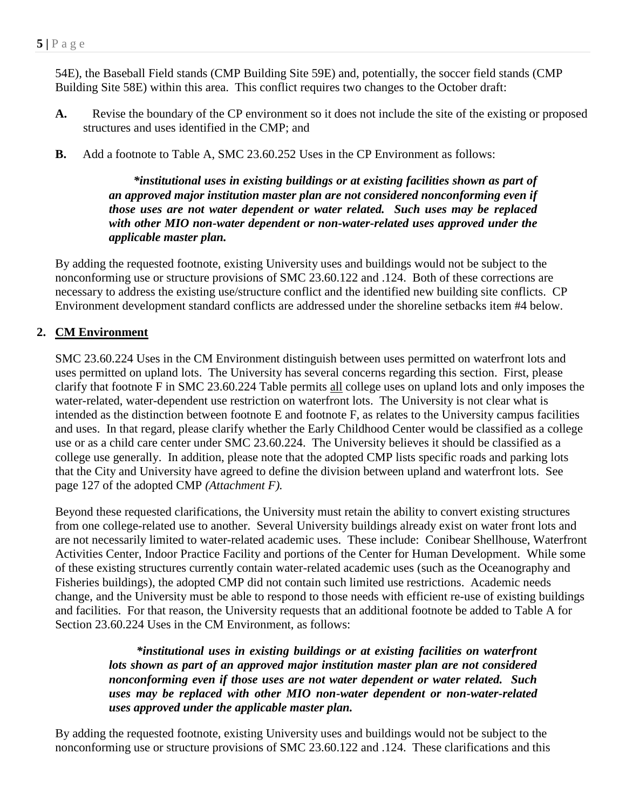54E), the Baseball Field stands (CMP Building Site 59E) and, potentially, the soccer field stands (CMP Building Site 58E) within this area. This conflict requires two changes to the October draft:

- **A.** Revise the boundary of the CP environment so it does not include the site of the existing or proposed structures and uses identified in the CMP; and
- **B.** Add a footnote to Table A, SMC 23.60.252 Uses in the CP Environment as follows:

 *\*institutional uses in existing buildings or at existing facilities shown as part of an approved major institution master plan are not considered nonconforming even if those uses are not water dependent or water related. Such uses may be replaced with other MIO non-water dependent or non-water-related uses approved under the applicable master plan.*

By adding the requested footnote, existing University uses and buildings would not be subject to the nonconforming use or structure provisions of SMC 23.60.122 and .124. Both of these corrections are necessary to address the existing use/structure conflict and the identified new building site conflicts. CP Environment development standard conflicts are addressed under the shoreline setbacks item #4 below.

# **2. CM Environment**

SMC 23.60.224 Uses in the CM Environment distinguish between uses permitted on waterfront lots and uses permitted on upland lots. The University has several concerns regarding this section. First, please clarify that footnote F in SMC 23.60.224 Table permits all college uses on upland lots and only imposes the water-related, water-dependent use restriction on waterfront lots. The University is not clear what is intended as the distinction between footnote E and footnote F, as relates to the University campus facilities and uses. In that regard, please clarify whether the Early Childhood Center would be classified as a college use or as a child care center under SMC 23.60.224. The University believes it should be classified as a college use generally. In addition, please note that the adopted CMP lists specific roads and parking lots that the City and University have agreed to define the division between upland and waterfront lots. See page 127 of the adopted CMP *(Attachment F).*

Beyond these requested clarifications, the University must retain the ability to convert existing structures from one college-related use to another. Several University buildings already exist on water front lots and are not necessarily limited to water-related academic uses. These include: Conibear Shellhouse, Waterfront Activities Center, Indoor Practice Facility and portions of the Center for Human Development.While some of these existing structures currently contain water-related academic uses (such as the Oceanography and Fisheries buildings), the adopted CMP did not contain such limited use restrictions. Academic needs change, and the University must be able to respond to those needs with efficient re-use of existing buildings and facilities. For that reason, the University requests that an additional footnote be added to Table A for Section 23.60.224 Uses in the CM Environment, as follows:

> *\*institutional uses in existing buildings or at existing facilities on waterfront lots shown as part of an approved major institution master plan are not considered nonconforming even if those uses are not water dependent or water related. Such uses may be replaced with other MIO non-water dependent or non-water-related uses approved under the applicable master plan.*

By adding the requested footnote, existing University uses and buildings would not be subject to the nonconforming use or structure provisions of SMC 23.60.122 and .124. These clarifications and this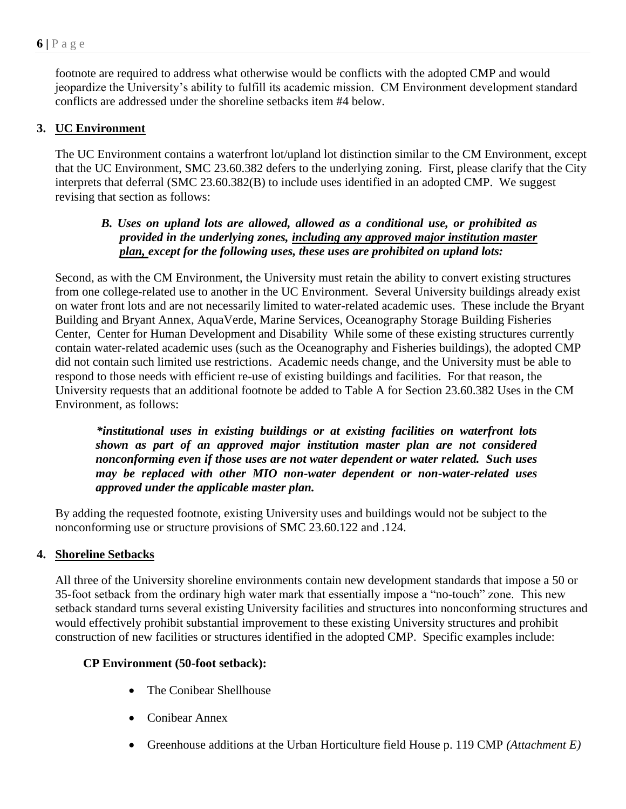footnote are required to address what otherwise would be conflicts with the adopted CMP and would jeopardize the University's ability to fulfill its academic mission. CM Environment development standard conflicts are addressed under the shoreline setbacks item #4 below.

### **3. UC Environment**

The UC Environment contains a waterfront lot/upland lot distinction similar to the CM Environment, except that the UC Environment, SMC 23.60.382 defers to the underlying zoning. First, please clarify that the City interprets that deferral (SMC 23.60.382(B) to include uses identified in an adopted CMP. We suggest revising that section as follows:

### *B. Uses on upland lots are allowed, allowed as a conditional use, or prohibited as provided in the underlying zones, including any approved major institution master plan, except for the following uses, these uses are prohibited on upland lots:*

Second, as with the CM Environment, the University must retain the ability to convert existing structures from one college-related use to another in the UC Environment. Several University buildings already exist on water front lots and are not necessarily limited to water-related academic uses. These include the Bryant Building and Bryant Annex, AquaVerde, Marine Services, Oceanography Storage Building Fisheries Center, Center for Human Development and DisabilityWhile some of these existing structures currently contain water-related academic uses (such as the Oceanography and Fisheries buildings), the adopted CMP did not contain such limited use restrictions. Academic needs change, and the University must be able to respond to those needs with efficient re-use of existing buildings and facilities. For that reason, the University requests that an additional footnote be added to Table A for Section 23.60.382 Uses in the CM Environment, as follows:

*\*institutional uses in existing buildings or at existing facilities on waterfront lots shown as part of an approved major institution master plan are not considered nonconforming even if those uses are not water dependent or water related. Such uses may be replaced with other MIO non-water dependent or non-water-related uses approved under the applicable master plan.*

By adding the requested footnote, existing University uses and buildings would not be subject to the nonconforming use or structure provisions of SMC 23.60.122 and .124.

#### **4. Shoreline Setbacks**

All three of the University shoreline environments contain new development standards that impose a 50 or 35-foot setback from the ordinary high water mark that essentially impose a "no-touch" zone. This new setback standard turns several existing University facilities and structures into nonconforming structures and would effectively prohibit substantial improvement to these existing University structures and prohibit construction of new facilities or structures identified in the adopted CMP. Specific examples include:

#### **CP Environment (50-foot setback):**

- The Conibear Shellhouse
- Conibear Annex
- Greenhouse additions at the Urban Horticulture field House p. 119 CMP *(Attachment E)*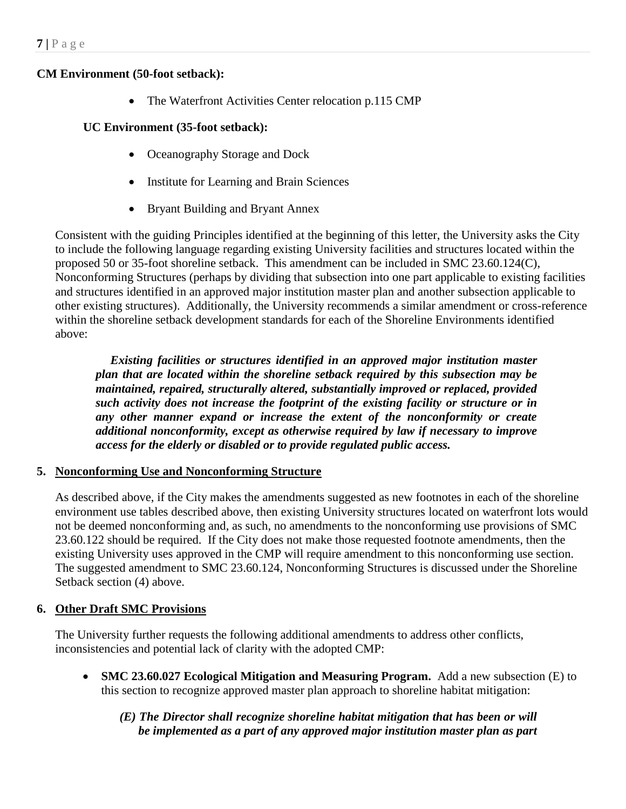### **CM Environment (50-foot setback):**

• The Waterfront Activities Center relocation p.115 CMP

### **UC Environment (35-foot setback):**

- Oceanography Storage and Dock
- Institute for Learning and Brain Sciences
- Bryant Building and Bryant Annex

Consistent with the guiding Principles identified at the beginning of this letter, the University asks the City to include the following language regarding existing University facilities and structures located within the proposed 50 or 35-foot shoreline setback. This amendment can be included in SMC 23.60.124(C), Nonconforming Structures (perhaps by dividing that subsection into one part applicable to existing facilities and structures identified in an approved major institution master plan and another subsection applicable to other existing structures). Additionally, the University recommends a similar amendment or cross-reference within the shoreline setback development standards for each of the Shoreline Environments identified above:

*Existing facilities or structures identified in an approved major institution master plan that are located within the shoreline setback required by this subsection may be maintained, repaired, structurally altered, substantially improved or replaced, provided such activity does not increase the footprint of the existing facility or structure or in any other manner expand or increase the extent of the nonconformity or create additional nonconformity, except as otherwise required by law if necessary to improve access for the elderly or disabled or to provide regulated public access.*

### **5. Nonconforming Use and Nonconforming Structure**

As described above, if the City makes the amendments suggested as new footnotes in each of the shoreline environment use tables described above, then existing University structures located on waterfront lots would not be deemed nonconforming and, as such, no amendments to the nonconforming use provisions of SMC 23.60.122 should be required. If the City does not make those requested footnote amendments, then the existing University uses approved in the CMP will require amendment to this nonconforming use section. The suggested amendment to SMC 23.60.124, Nonconforming Structures is discussed under the Shoreline Setback section (4) above.

### **6. Other Draft SMC Provisions**

The University further requests the following additional amendments to address other conflicts, inconsistencies and potential lack of clarity with the adopted CMP:

 **SMC 23.60.027 Ecological Mitigation and Measuring Program.** Add a new subsection (E) to this section to recognize approved master plan approach to shoreline habitat mitigation:

# *(E) The Director shall recognize shoreline habitat mitigation that has been or will be implemented as a part of any approved major institution master plan as part*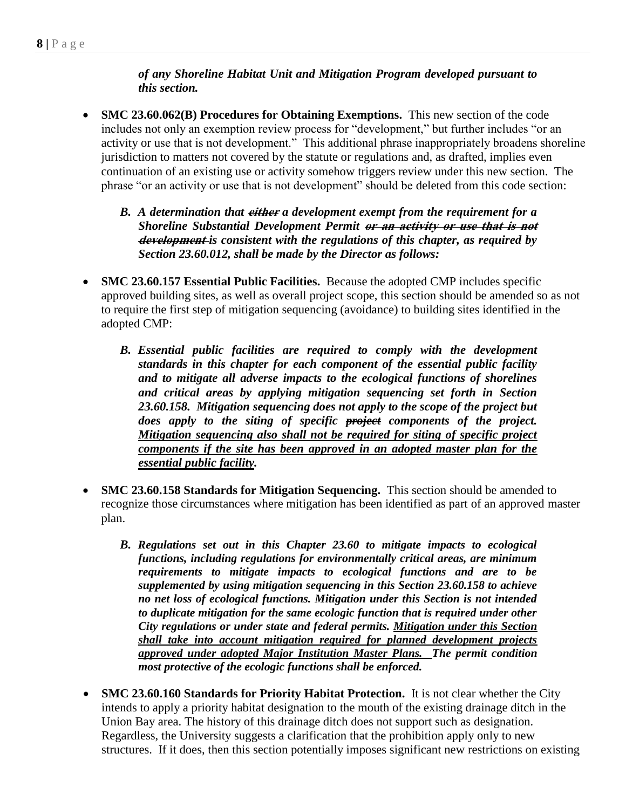*of any Shoreline Habitat Unit and Mitigation Program developed pursuant to this section.* 

- **SMC 23.60.062(B) Procedures for Obtaining Exemptions.** This new section of the code includes not only an exemption review process for "development," but further includes "or an activity or use that is not development." This additional phrase inappropriately broadens shoreline jurisdiction to matters not covered by the statute or regulations and, as drafted, implies even continuation of an existing use or activity somehow triggers review under this new section. The phrase "or an activity or use that is not development" should be deleted from this code section:
	- *B. A determination that* **either** *a development exempt from the requirement for a Shoreline Substantial Development Permit* **or an activity or use that is not development** *is consistent with the regulations of this chapter, as required by Section 23.60.012, shall be made by the Director as follows:*
- **SMC 23.60.157 Essential Public Facilities.** Because the adopted CMP includes specific approved building sites, as well as overall project scope, this section should be amended so as not to require the first step of mitigation sequencing (avoidance) to building sites identified in the adopted CMP:
	- *B. Essential public facilities are required to comply with the development standards in this chapter for each component of the essential public facility and to mitigate all adverse impacts to the ecological functions of shorelines and critical areas by applying mitigation sequencing set forth in Section 23.60.158. Mitigation sequencing does not apply to the scope of the project but does apply to the siting of specific project components of the project. Mitigation sequencing also shall not be required for siting of specific project components if the site has been approved in an adopted master plan for the essential public facility.*
- **SMC 23.60.158 Standards for Mitigation Sequencing.** This section should be amended to recognize those circumstances where mitigation has been identified as part of an approved master plan.
	- *B. Regulations set out in this Chapter 23.60 to mitigate impacts to ecological functions, including regulations for environmentally critical areas, are minimum requirements to mitigate impacts to ecological functions and are to be supplemented by using mitigation sequencing in this Section 23.60.158 to achieve no net loss of ecological functions. Mitigation under this Section is not intended to duplicate mitigation for the same ecologic function that is required under other City regulations or under state and federal permits. Mitigation under this Section shall take into account mitigation required for planned development projects approved under adopted Major Institution Master Plans. The permit condition most protective of the ecologic functions shall be enforced.*
- **SMC 23.60.160 Standards for Priority Habitat Protection.** It is not clear whether the City intends to apply a priority habitat designation to the mouth of the existing drainage ditch in the Union Bay area. The history of this drainage ditch does not support such as designation. Regardless, the University suggests a clarification that the prohibition apply only to new structures. If it does, then this section potentially imposes significant new restrictions on existing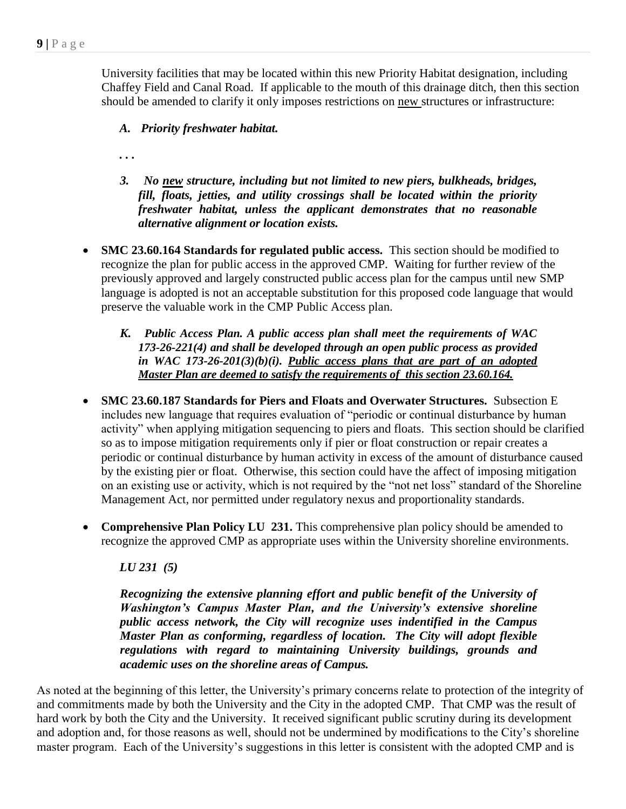University facilities that may be located within this new Priority Habitat designation, including Chaffey Field and Canal Road. If applicable to the mouth of this drainage ditch, then this section should be amended to clarify it only imposes restrictions on new structures or infrastructure:

*A. Priority freshwater habitat.*

*. . .* 

- *3. No new structure, including but not limited to new piers, bulkheads, bridges, fill, floats, jetties, and utility crossings shall be located within the priority freshwater habitat, unless the applicant demonstrates that no reasonable alternative alignment or location exists.*
- **SMC 23.60.164 Standards for regulated public access.** This section should be modified to recognize the plan for public access in the approved CMP. Waiting for further review of the previously approved and largely constructed public access plan for the campus until new SMP language is adopted is not an acceptable substitution for this proposed code language that would preserve the valuable work in the CMP Public Access plan.
	- *K. Public Access Plan. A public access plan shall meet the requirements of WAC 173-26-221(4) and shall be developed through an open public process as provided*  in WAC 173-26-201(3)(b)(i). Public access plans that are part of an adopted *Master Plan are deemed to satisfy the requirements of this section 23.60.164.*
- **SMC 23.60.187 Standards for Piers and Floats and Overwater Structures.** Subsection E includes new language that requires evaluation of "periodic or continual disturbance by human activity" when applying mitigation sequencing to piers and floats. This section should be clarified so as to impose mitigation requirements only if pier or float construction or repair creates a periodic or continual disturbance by human activity in excess of the amount of disturbance caused by the existing pier or float. Otherwise, this section could have the affect of imposing mitigation on an existing use or activity, which is not required by the "not net loss" standard of the Shoreline Management Act, nor permitted under regulatory nexus and proportionality standards.
- **Comprehensive Plan Policy LU 231.** This comprehensive plan policy should be amended to recognize the approved CMP as appropriate uses within the University shoreline environments.

*LU 231 (5)*

*Recognizing the extensive planning effort and public benefit of the University of Washington's Campus Master Plan, and the University's extensive shoreline public access network, the City will recognize uses indentified in the Campus Master Plan as conforming, regardless of location. The City will adopt flexible regulations with regard to maintaining University buildings, grounds and academic uses on the shoreline areas of Campus.*

As noted at the beginning of this letter, the University's primary concerns relate to protection of the integrity of and commitments made by both the University and the City in the adopted CMP. That CMP was the result of hard work by both the City and the University. It received significant public scrutiny during its development and adoption and, for those reasons as well, should not be undermined by modifications to the City's shoreline master program. Each of the University's suggestions in this letter is consistent with the adopted CMP and is